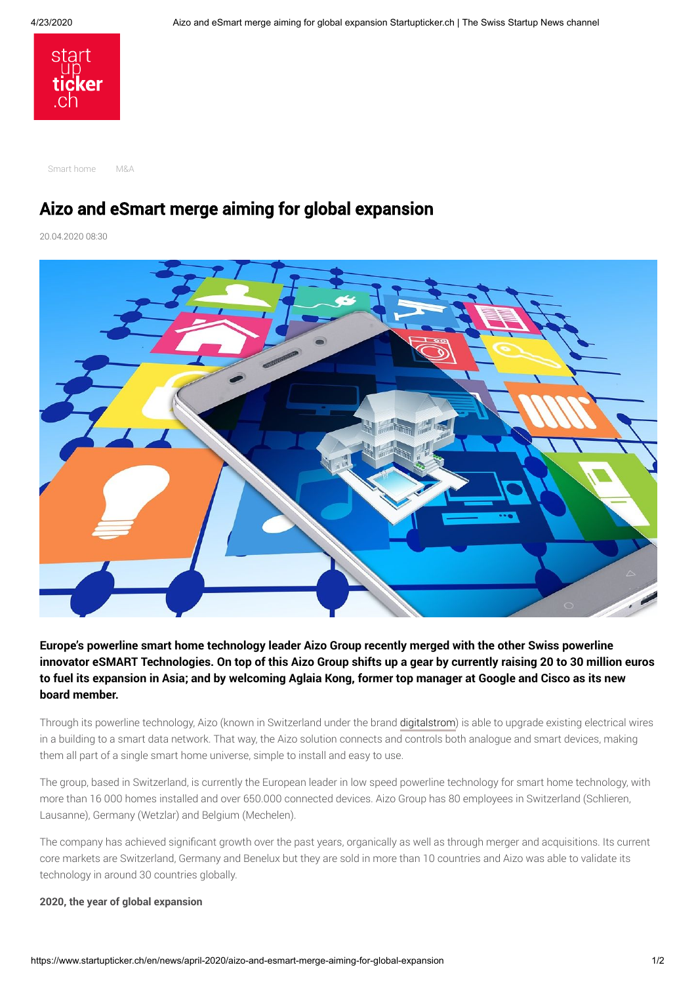

[Smart home](https://www.startupticker.ch/en/topics?tag=Smart+home&show_one_tag=1) [M&A](https://www.startupticker.ch/en/topics?tag=M%26amp%3BA&show_one_tag=1)

# Aizo and eSmart merge aiming for global expansion

20.04.2020 08:30



**Europe's powerline smart home technology leader Aizo Group recently merged with the other Swiss powerline innovator eSMART Technologies. On top of this Aizo Group shifts up a gear by currently raising 20 to 30 million euros to fuel its expansion in Asia; and by welcoming Aglaia Kong, former top manager at Google and Cisco as its new board member.** 

Through its powerline technology, Aizo (known in Switzerland under the brand [digitalstrom\)](https://www.digitalstrom.com/) is able to upgrade existing electrical wires in a building to a smart data network. That way, the Aizo solution connects and controls both analogue and smart devices, making them all part of a single smart home universe, simple to install and easy to use.

The group, based in Switzerland, is currently the European leader in low speed powerline technology for smart home technology, with more than 16 000 homes installed and over 650.000 connected devices. Aizo Group has 80 employees in Switzerland (Schlieren, Lausanne), Germany (Wetzlar) and Belgium (Mechelen).

The company has achieved significant growth over the past years, organically as well as through merger and acquisitions. Its current core markets are Switzerland, Germany and Benelux but they are sold in more than 10 countries and Aizo was able to validate its technology in around 30 countries globally.

# **2020, the year of global expansion**